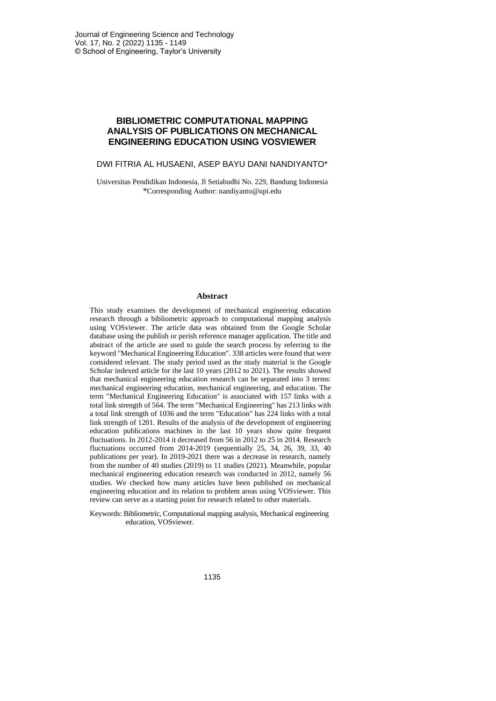# **BIBLIOMETRIC COMPUTATIONAL MAPPING ANALYSIS OF PUBLICATIONS ON MECHANICAL ENGINEERING EDUCATION USING VOSVIEWER**

#### DWI FITRIA AL HUSAENI, ASEP BAYU DANI NANDIYANTO\*

Universitas Pendidikan Indonesia, Jl Setiabudhi No. 229, Bandung Indonesia \*Corresponding Author: nandiyanto@upi.edu

#### **Abstract**

This study examines the development of mechanical engineering education research through a bibliometric approach to computational mapping analysis using VOSviewer. The article data was obtained from the Google Scholar database using the publish or perish reference manager application. The title and abstract of the article are used to guide the search process by referring to the keyword "Mechanical Engineering Education". 338 articles were found that were considered relevant. The study period used as the study material is the Google Scholar indexed article for the last 10 years (2012 to 2021). The results showed that mechanical engineering education research can be separated into 3 terms: mechanical engineering education, mechanical engineering, and education. The term "Mechanical Engineering Education" is associated with 157 links with a total link strength of 564. The term "Mechanical Engineering" has 213 links with a total link strength of 1036 and the term "Education" has 224 links with a total link strength of 1201. Results of the analysis of the development of engineering education publications machines in the last 10 years show quite frequent fluctuations. In 2012-2014 it decreased from 56 in 2012 to 25 in 2014. Research fluctuations occurred from 2014-2019 (sequentially 25, 34, 26, 39, 33, 40 publications per year). In 2019-2021 there was a decrease in research, namely from the number of 40 studies (2019) to 11 studies (2021). Meanwhile, popular mechanical engineering education research was conducted in 2012, namely 56 studies. We checked how many articles have been published on mechanical engineering education and its relation to problem areas using VOSviewer. This review can serve as a starting point for research related to other materials.

Keywords: Bibliometric, Computational mapping analysis, Mechanical engineering education, VOSviewer.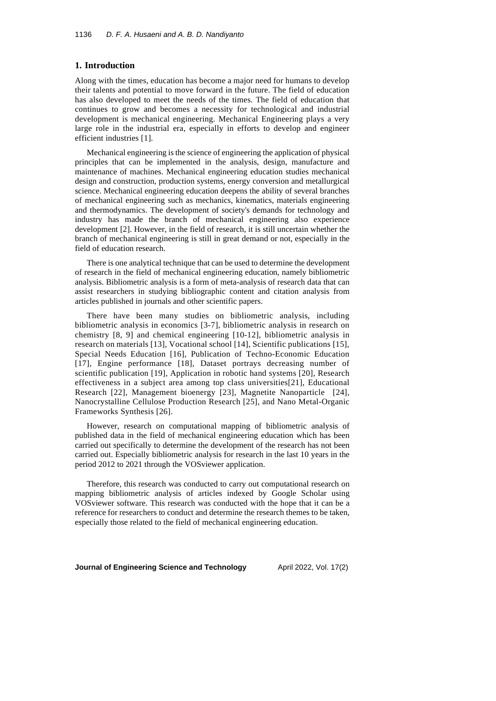### **1. Introduction**

Along with the times, education has become a major need for humans to develop their talents and potential to move forward in the future. The field of education has also developed to meet the needs of the times. The field of education that continues to grow and becomes a necessity for technological and industrial development is mechanical engineering. Mechanical Engineering plays a very large role in the industrial era, especially in efforts to develop and engineer efficient industries [1].

Mechanical engineering isthe science of engineering the application of physical principles that can be implemented in the analysis, design, manufacture and maintenance of machines. Mechanical engineering education studies mechanical design and construction, production systems, energy conversion and metallurgical science. Mechanical engineering education deepens the ability of several branches of mechanical engineering such as mechanics, kinematics, materials engineering and thermodynamics. The development of society's demands for technology and industry has made the branch of mechanical engineering also experience development [2]. However, in the field of research, it is still uncertain whether the branch of mechanical engineering is still in great demand or not, especially in the field of education research.

There is one analytical technique that can be used to determine the development of research in the field of mechanical engineering education, namely bibliometric analysis. Bibliometric analysis is a form of meta-analysis of research data that can assist researchers in studying bibliographic content and citation analysis from articles published in journals and other scientific papers.

There have been many studies on bibliometric analysis, including bibliometric analysis in economics [3-7], bibliometric analysis in research on chemistry [8, 9] and chemical engineering [10-12], bibliometric analysis in research on materials [13], Vocational school [14], Scientific publications [15], Special Needs Education [16], Publication of Techno-Economic Education [17], Engine performance [18], Dataset portrays decreasing number of scientific publication [19], Application in robotic hand systems [20], Research effectiveness in a subject area among top class universities[21], Educational Research [22], Management bioenergy [23], Magnetite Nanoparticle [24], Nanocrystalline Cellulose Production Research [25], and Nano Metal-Organic Frameworks Synthesis [26].

However, research on computational mapping of bibliometric analysis of published data in the field of mechanical engineering education which has been carried out specifically to determine the development of the research has not been carried out. Especially bibliometric analysis for research in the last 10 years in the period 2012 to 2021 through the VOSviewer application.

Therefore, this research was conducted to carry out computational research on mapping bibliometric analysis of articles indexed by Google Scholar using VOSviewer software. This research was conducted with the hope that it can be a reference for researchers to conduct and determine the research themes to be taken, especially those related to the field of mechanical engineering education.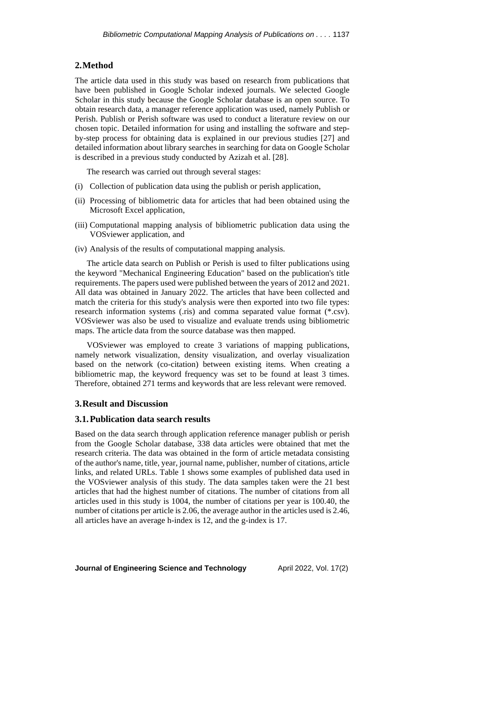### **2.Method**

The article data used in this study was based on research from publications that have been published in Google Scholar indexed journals. We selected Google Scholar in this study because the Google Scholar database is an open source. To obtain research data, a manager reference application was used, namely Publish or Perish. Publish or Perish software was used to conduct a literature review on our chosen topic. Detailed information for using and installing the software and stepby-step process for obtaining data is explained in our previous studies [27] and detailed information about library searches in searching for data on Google Scholar is described in a previous study conducted by Azizah et al. [28].

The research was carried out through several stages:

- (i) Collection of publication data using the publish or perish application,
- (ii) Processing of bibliometric data for articles that had been obtained using the Microsoft Excel application,
- (iii) Computational mapping analysis of bibliometric publication data using the VOSviewer application, and
- (iv) Analysis of the results of computational mapping analysis.

The article data search on Publish or Perish is used to filter publications using the keyword "Mechanical Engineering Education" based on the publication's title requirements. The papers used were published between the years of 2012 and 2021. All data was obtained in January 2022. The articles that have been collected and match the criteria for this study's analysis were then exported into two file types: research information systems (.ris) and comma separated value format (\*.csv). VOSviewer was also be used to visualize and evaluate trends using bibliometric maps. The article data from the source database was then mapped.

VOSviewer was employed to create 3 variations of mapping publications, namely network visualization, density visualization, and overlay visualization based on the network (co-citation) between existing items. When creating a bibliometric map, the keyword frequency was set to be found at least 3 times. Therefore, obtained 271 terms and keywords that are less relevant were removed.

#### **3.Result and Discussion**

### **3.1.Publication data search results**

Based on the data search through application reference manager publish or perish from the Google Scholar database, 338 data articles were obtained that met the research criteria. The data was obtained in the form of article metadata consisting of the author's name, title, year, journal name, publisher, number of citations, article links, and related URLs. Table 1 shows some examples of published data used in the VOSviewer analysis of this study. The data samples taken were the 21 best articles that had the highest number of citations. The number of citations from all articles used in this study is 1004, the number of citations per year is 100.40, the number of citations per article is 2.06, the average author in the articles used is 2.46, all articles have an average h-index is 12, and the g-index is 17.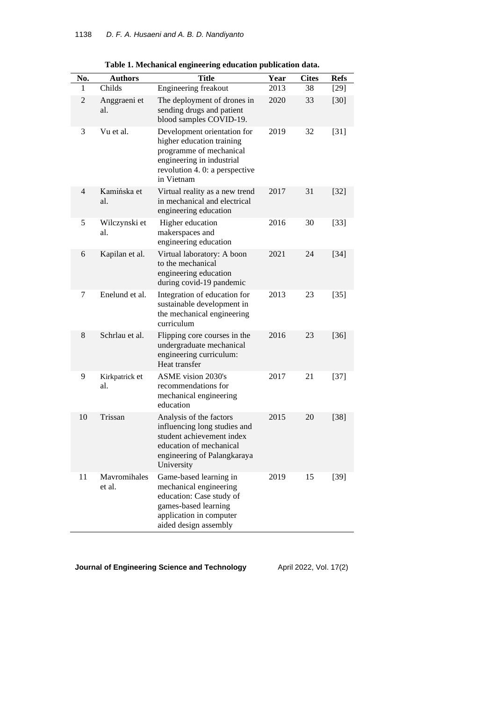| No.            | <b>Authors</b>         | <b>Title</b>                                                                                                                                                    | Year | <b>Cites</b> | <b>Refs</b> |
|----------------|------------------------|-----------------------------------------------------------------------------------------------------------------------------------------------------------------|------|--------------|-------------|
| 1              | Childs                 | Engineering freakout                                                                                                                                            | 2013 | 38           | $[29]$      |
| $\overline{c}$ | Anggraeni et<br>al.    | The deployment of drones in<br>sending drugs and patient<br>blood samples COVID-19.                                                                             | 2020 | 33           | $[30]$      |
| 3              | Vu et al.              | Development orientation for<br>higher education training<br>programme of mechanical<br>engineering in industrial<br>revolution 4.0: a perspective<br>in Vietnam | 2019 | 32           | $[31]$      |
| $\overline{4}$ | Kamińska et<br>al.     | Virtual reality as a new trend<br>in mechanical and electrical<br>engineering education                                                                         | 2017 | 31           | $[32]$      |
| 5              | Wilczynski et<br>al.   | Higher education<br>makerspaces and<br>engineering education                                                                                                    | 2016 | 30           | $[33]$      |
| 6              | Kapilan et al.         | Virtual laboratory: A boon<br>to the mechanical<br>engineering education<br>during covid-19 pandemic                                                            | 2021 | 24           | $[34]$      |
| 7              | Enelund et al.         | Integration of education for<br>sustainable development in<br>the mechanical engineering<br>curriculum                                                          | 2013 | 23           | $[35]$      |
| 8              | Schrlau et al.         | Flipping core courses in the<br>undergraduate mechanical<br>engineering curriculum:<br>Heat transfer                                                            | 2016 | 23           | $[36]$      |
| 9              | Kirkpatrick et<br>al.  | <b>ASME</b> vision 2030's<br>recommendations for<br>mechanical engineering<br>education                                                                         | 2017 | 21           | $[37]$      |
| 10             | Trissan                | Analysis of the factors<br>influencing long studies and<br>student achievement index<br>education of mechanical<br>engineering of Palangkaraya<br>University    | 2015 | 20           | $[38]$      |
| 11             | Mavromihales<br>et al. | Game-based learning in<br>mechanical engineering<br>education: Case study of<br>games-based learning<br>application in computer<br>aided design assembly        | 2019 | 15           | $[39]$      |

**Table 1. Mechanical engineering education publication data.**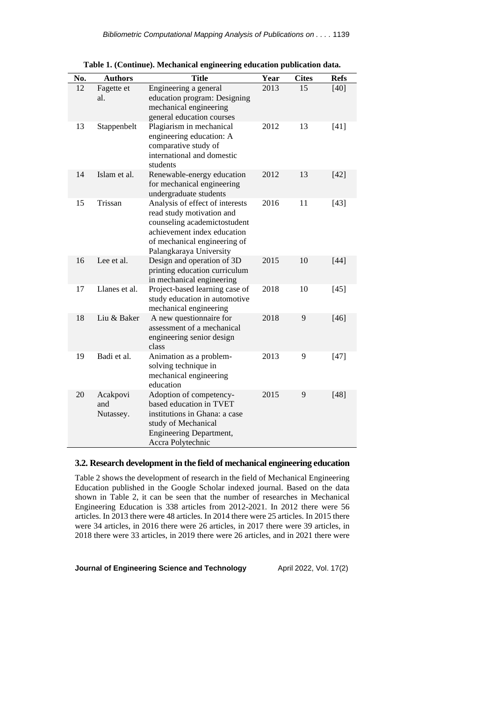| No. | <b>Authors</b>               | <b>Title</b>                                                                                                                                                                           | Year | <b>Cites</b> | <b>Refs</b> |
|-----|------------------------------|----------------------------------------------------------------------------------------------------------------------------------------------------------------------------------------|------|--------------|-------------|
| 12  | Fagette et<br>al.            | Engineering a general<br>education program: Designing<br>mechanical engineering<br>general education courses                                                                           | 2013 | 15           | $[40]$      |
| 13  | Stappenbelt                  | Plagiarism in mechanical<br>engineering education: A<br>comparative study of<br>international and domestic<br>students                                                                 | 2012 | 13           | $[41]$      |
| 14  | Islam et al.                 | Renewable-energy education<br>for mechanical engineering<br>undergraduate students                                                                                                     | 2012 | 13           | $[42]$      |
| 15  | Trissan                      | Analysis of effect of interests<br>read study motivation and<br>counseling academictostudent<br>achievement index education<br>of mechanical engineering of<br>Palangkaraya University | 2016 | 11           | $[43]$      |
| 16  | Lee et al.                   | Design and operation of 3D<br>printing education curriculum<br>in mechanical engineering                                                                                               | 2015 | 10           | $[44]$      |
| 17  | Llanes et al.                | Project-based learning case of<br>study education in automotive<br>mechanical engineering                                                                                              | 2018 | 10           | $[45]$      |
| 18  | Liu & Baker                  | A new questionnaire for<br>assessment of a mechanical<br>engineering senior design<br>class                                                                                            | 2018 | 9            | $[46]$      |
| 19  | Badi et al.                  | Animation as a problem-<br>solving technique in<br>mechanical engineering<br>education                                                                                                 | 2013 | 9            | $[47]$      |
| 20  | Acakpovi<br>and<br>Nutassey. | Adoption of competency-<br>based education in TVET<br>institutions in Ghana: a case<br>study of Mechanical<br><b>Engineering Department,</b><br>Accra Polytechnic                      | 2015 | 9            | $[48]$      |

**Table 1. (Continue). Mechanical engineering education publication data.**

## **3.2. Research development in the field of mechanical engineering education**

Table 2 shows the development of research in the field of Mechanical Engineering Education published in the Google Scholar indexed journal. Based on the data shown in Table 2, it can be seen that the number of researches in Mechanical Engineering Education is 338 articles from 2012-2021. In 2012 there were 56 articles. In 2013 there were 48 articles. In 2014 there were 25 articles. In 2015 there were 34 articles, in 2016 there were 26 articles, in 2017 there were 39 articles, in 2018 there were 33 articles, in 2019 there were 26 articles, and in 2021 there were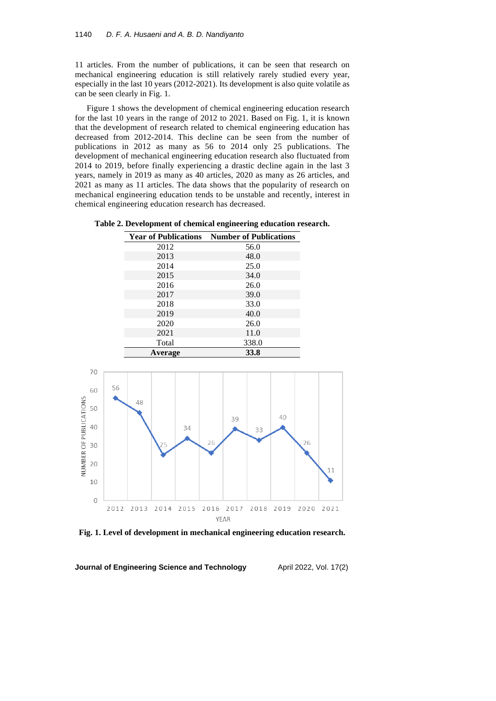11 articles. From the number of publications, it can be seen that research on mechanical engineering education is still relatively rarely studied every year, especially in the last 10 years (2012-2021). Its development is also quite volatile as can be seen clearly in Fig. 1.

Figure 1 shows the development of chemical engineering education research for the last 10 years in the range of 2012 to 2021. Based on Fig. 1, it is known that the development of research related to chemical engineering education has decreased from 2012-2014. This decline can be seen from the number of publications in 2012 as many as 56 to 2014 only 25 publications. The development of mechanical engineering education research also fluctuated from 2014 to 2019, before finally experiencing a drastic decline again in the last 3 years, namely in 2019 as many as 40 articles, 2020 as many as 26 articles, and 2021 as many as 11 articles. The data shows that the popularity of research on mechanical engineering education tends to be unstable and recently, interest in chemical engineering education research has decreased.

| Table 2. Development of chemical engineering education research. |  |  |  |
|------------------------------------------------------------------|--|--|--|
|------------------------------------------------------------------|--|--|--|

| <b>Year of Publications</b> | <b>Number of Publications</b> |
|-----------------------------|-------------------------------|
| 2012                        | 56.0                          |
| 2013                        | 48.0                          |
| 2014                        | 25.0                          |
| 2015                        | 34.0                          |
| 2016                        | 26.0                          |
| 2017                        | 39.0                          |
| 2018                        | 33.0                          |
| 2019                        | 40.0                          |
| 2020                        | 26.0                          |
| 2021                        | 11.0                          |
| Total                       | 338.0                         |
| Average                     | 33.8                          |



**Fig. 1. Level of development in mechanical engineering education research.**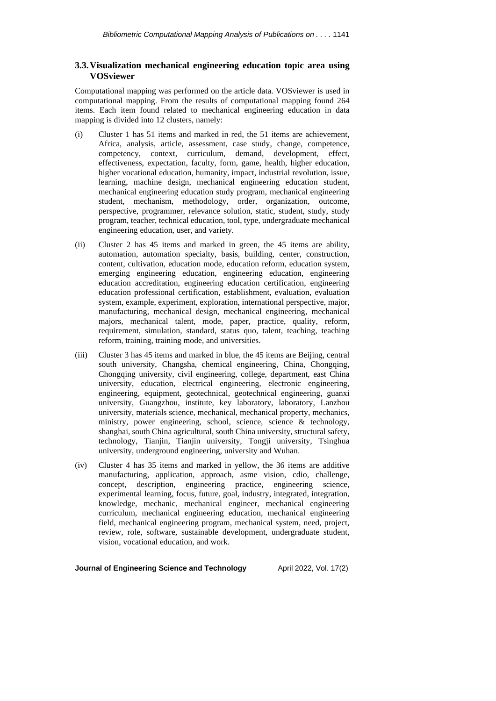## **3.3.Visualization mechanical engineering education topic area using VOSviewer**

Computational mapping was performed on the article data. VOSviewer is used in computational mapping. From the results of computational mapping found 264 items. Each item found related to mechanical engineering education in data mapping is divided into 12 clusters, namely:

- (i) Cluster 1 has 51 items and marked in red, the 51 items are achievement, Africa, analysis, article, assessment, case study, change, competence, competency, context, curriculum, demand, development, effect, effectiveness, expectation, faculty, form, game, health, higher education, higher vocational education, humanity, impact, industrial revolution, issue, learning, machine design, mechanical engineering education student, mechanical engineering education study program, mechanical engineering student, mechanism, methodology, order, organization, outcome, perspective, programmer, relevance solution, static, student, study, study program, teacher, technical education, tool, type, undergraduate mechanical engineering education, user, and variety.
- (ii) Cluster 2 has 45 items and marked in green, the 45 items are ability, automation, automation specialty, basis, building, center, construction, content, cultivation, education mode, education reform, education system, emerging engineering education, engineering education, engineering education accreditation, engineering education certification, engineering education professional certification, establishment, evaluation, evaluation system, example, experiment, exploration, international perspective, major, manufacturing, mechanical design, mechanical engineering, mechanical majors, mechanical talent, mode, paper, practice, quality, reform, requirement, simulation, standard, status quo, talent, teaching, teaching reform, training, training mode, and universities.
- (iii) Cluster 3 has 45 items and marked in blue, the 45 items are Beijing, central south university, Changsha, chemical engineering, China, Chongqing, Chongqing university, civil engineering, college, department, east China university, education, electrical engineering, electronic engineering, engineering, equipment, geotechnical, geotechnical engineering, guanxi university, Guangzhou, institute, key laboratory, laboratory, Lanzhou university, materials science, mechanical, mechanical property, mechanics, ministry, power engineering, school, science, science & technology, shanghai, south China agricultural, south China university, structural safety, technology, Tianjin, Tianjin university, Tongji university, Tsinghua university, underground engineering, university and Wuhan.
- (iv) Cluster 4 has 35 items and marked in yellow, the 36 items are additive manufacturing, application, approach, asme vision, cdio, challenge, concept, description, engineering practice, engineering science, experimental learning, focus, future, goal, industry, integrated, integration, knowledge, mechanic, mechanical engineer, mechanical engineering curriculum, mechanical engineering education, mechanical engineering field, mechanical engineering program, mechanical system, need, project, review, role, software, sustainable development, undergraduate student, vision, vocational education, and work.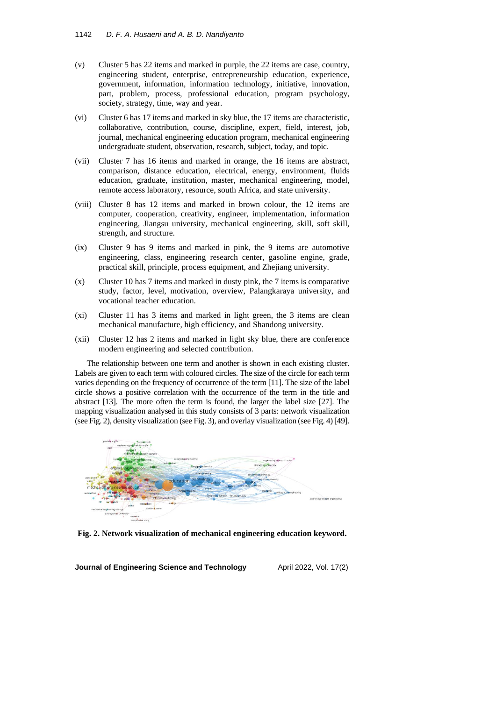- (v) Cluster 5 has 22 items and marked in purple, the 22 items are case, country, engineering student, enterprise, entrepreneurship education, experience, government, information, information technology, initiative, innovation, part, problem, process, professional education, program psychology, society, strategy, time, way and year.
- (vi) Cluster 6 has 17 items and marked in sky blue, the 17 items are characteristic, collaborative, contribution, course, discipline, expert, field, interest, job, journal, mechanical engineering education program, mechanical engineering undergraduate student, observation, research, subject, today, and topic.
- (vii) Cluster 7 has 16 items and marked in orange, the 16 items are abstract, comparison, distance education, electrical, energy, environment, fluids education, graduate, institution, master, mechanical engineering, model, remote access laboratory, resource, south Africa, and state university.
- (viii) Cluster 8 has 12 items and marked in brown colour, the 12 items are computer, cooperation, creativity, engineer, implementation, information engineering, Jiangsu university, mechanical engineering, skill, soft skill, strength, and structure.
- (ix) Cluster 9 has 9 items and marked in pink, the 9 items are automotive engineering, class, engineering research center, gasoline engine, grade, practical skill, principle, process equipment, and Zhejiang university.
- (x) Cluster 10 has 7 items and marked in dusty pink, the 7 items is comparative study, factor, level, motivation, overview, Palangkaraya university, and vocational teacher education.
- (xi) Cluster 11 has 3 items and marked in light green, the 3 items are clean mechanical manufacture, high efficiency, and Shandong university.
- (xii) Cluster 12 has 2 items and marked in light sky blue, there are conference modern engineering and selected contribution.

The relationship between one term and another is shown in each existing cluster. Labels are given to each term with coloured circles. The size of the circle for each term varies depending on the frequency of occurrence of the term [11]. The size of the label circle shows a positive correlation with the occurrence of the term in the title and abstract [13]. The more often the term is found, the larger the label size [27]. The mapping visualization analysed in this study consists of 3 parts: network visualization (see Fig. 2), density visualization (see Fig. 3), and overlay visualization (see Fig. 4) [49].



**Fig. 2. Network visualization of mechanical engineering education keyword.**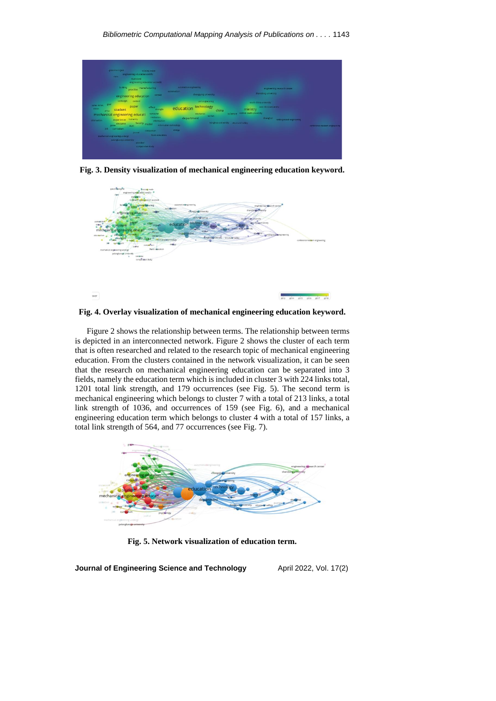

**Fig. 3. Density visualization of mechanical engineering education keyword.**





Figure 2 shows the relationship between terms. The relationship between terms is depicted in an interconnected network. Figure 2 shows the cluster of each term that is often researched and related to the research topic of mechanical engineering education. From the clusters contained in the network visualization, it can be seen that the research on mechanical engineering education can be separated into 3 fields, namely the education term which is included in cluster 3 with 224 links total, 1201 total link strength, and 179 occurrences (see Fig. 5). The second term is mechanical engineering which belongs to cluster 7 with a total of 213 links, a total link strength of 1036, and occurrences of 159 (see Fig. 6), and a mechanical engineering education term which belongs to cluster 4 with a total of 157 links, a total link strength of 564, and 77 occurrences (see Fig. 7).



**Fig. 5. Network visualization of education term.**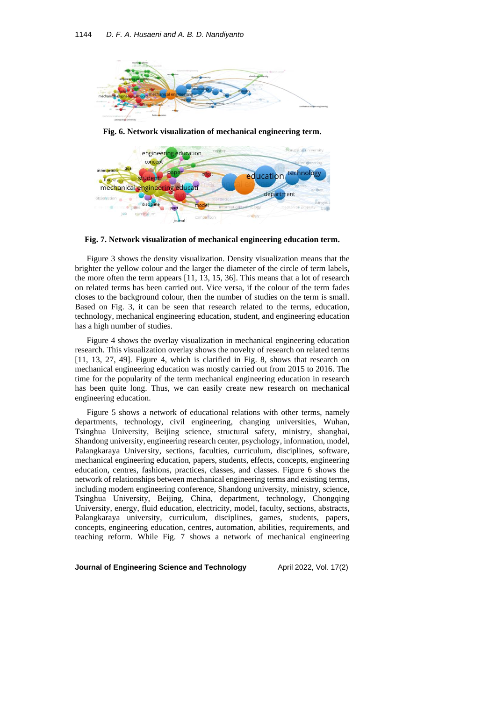

**Fig. 6. Network visualization of mechanical engineering term.**



**Fig. 7. Network visualization of mechanical engineering education term.**

Figure 3 shows the density visualization. Density visualization means that the brighter the yellow colour and the larger the diameter of the circle of term labels, the more often the term appears [11, 13, 15, 36]. This means that a lot of research on related terms has been carried out. Vice versa, if the colour of the term fades closes to the background colour, then the number of studies on the term is small. Based on Fig. 3, it can be seen that research related to the terms, education, technology, mechanical engineering education, student, and engineering education has a high number of studies.

Figure 4 shows the overlay visualization in mechanical engineering education research. This visualization overlay shows the novelty of research on related terms [11, 13, 27, 49]. Figure 4, which is clarified in Fig. 8, shows that research on mechanical engineering education was mostly carried out from 2015 to 2016. The time for the popularity of the term mechanical engineering education in research has been quite long. Thus, we can easily create new research on mechanical engineering education.

Figure 5 shows a network of educational relations with other terms, namely departments, technology, civil engineering, changing universities, Wuhan, Tsinghua University, Beijing science, structural safety, ministry, shanghai, Shandong university, engineering research center, psychology, information, model, Palangkaraya University, sections, faculties, curriculum, disciplines, software, mechanical engineering education, papers, students, effects, concepts, engineering education, centres, fashions, practices, classes, and classes. Figure 6 shows the network of relationships between mechanical engineering terms and existing terms, including modern engineering conference, Shandong university, ministry, science, Tsinghua University, Beijing, China, department, technology, Chongqing University, energy, fluid education, electricity, model, faculty, sections, abstracts, Palangkaraya university, curriculum, disciplines, games, students, papers, concepts, engineering education, centres, automation, abilities, requirements, and teaching reform. While Fig. 7 shows a network of mechanical engineering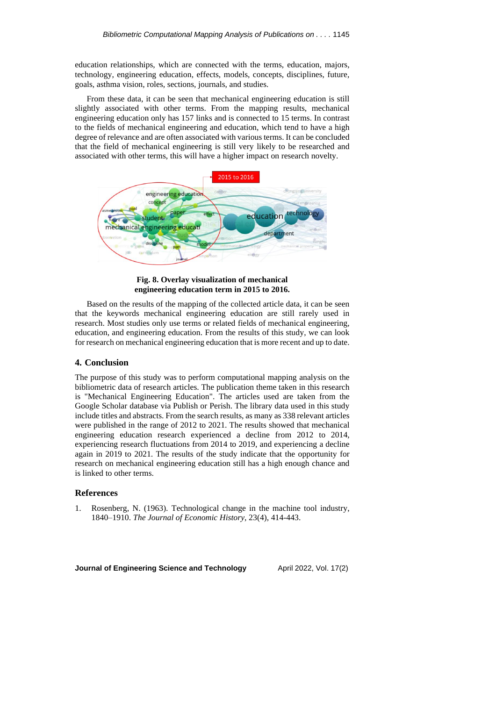education relationships, which are connected with the terms, education, majors, technology, engineering education, effects, models, concepts, disciplines, future, goals, asthma vision, roles, sections, journals, and studies.

From these data, it can be seen that mechanical engineering education is still slightly associated with other terms. From the mapping results, mechanical engineering education only has 157 links and is connected to 15 terms. In contrast to the fields of mechanical engineering and education, which tend to have a high degree of relevance and are often associated with variousterms. It can be concluded that the field of mechanical engineering is still very likely to be researched and associated with other terms, this will have a higher impact on research novelty.



**Fig. 8. Overlay visualization of mechanical engineering education term in 2015 to 2016.**

Based on the results of the mapping of the collected article data, it can be seen that the keywords mechanical engineering education are still rarely used in research. Most studies only use terms or related fields of mechanical engineering, education, and engineering education. From the results of this study, we can look for research on mechanical engineering education that is more recent and up to date.

#### **4. Conclusion**

The purpose of this study was to perform computational mapping analysis on the bibliometric data of research articles. The publication theme taken in this research is "Mechanical Engineering Education". The articles used are taken from the Google Scholar database via Publish or Perish. The library data used in this study include titles and abstracts. From the search results, as many as 338 relevant articles were published in the range of 2012 to 2021. The results showed that mechanical engineering education research experienced a decline from 2012 to 2014, experiencing research fluctuations from 2014 to 2019, and experiencing a decline again in 2019 to 2021. The results of the study indicate that the opportunity for research on mechanical engineering education still has a high enough chance and is linked to other terms.

### **References**

1. Rosenberg, N. (1963). Technological change in the machine tool industry, 1840–1910. *The Journal of Economic History*, 23(4), 414-443.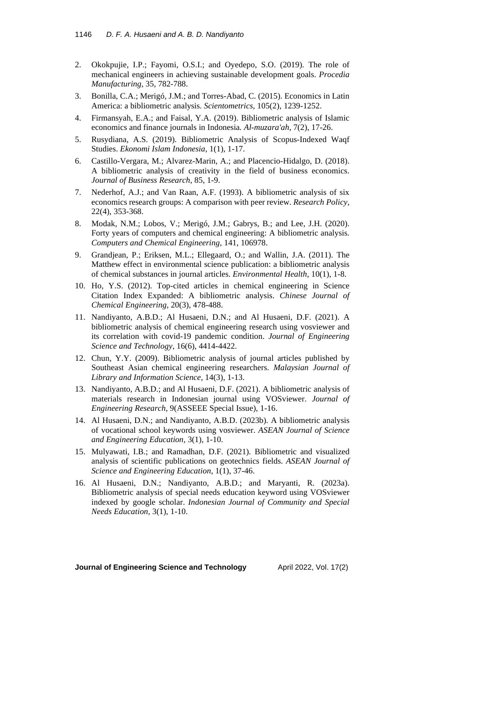- 2. Okokpujie, I.P.; Fayomi, O.S.I.; and Oyedepo, S.O. (2019). The role of mechanical engineers in achieving sustainable development goals. *Procedia Manufacturing*, 35, 782-788.
- 3. Bonilla, C.A.; Merigó, J.M.; and Torres-Abad, C. (2015). Economics in Latin America: a bibliometric analysis. *Scientometrics*, 105(2), 1239-1252.
- 4. Firmansyah, E.A.; and Faisal, Y.A. (2019). Bibliometric analysis of Islamic economics and finance journals in Indonesia*. Al-muzara'ah*, 7(2), 17-26.
- 5. Rusydiana, A.S. (2019). Bibliometric Analysis of Scopus-Indexed Waqf Studies. *Ekonomi Islam Indonesia*, 1(1), 1-17.
- 6. Castillo-Vergara, M.; Alvarez-Marin, A.; and Placencio-Hidalgo, D. (2018). A bibliometric analysis of creativity in the field of business economics. *Journal of Business Research*, 85, 1-9.
- 7. Nederhof, A.J.; and Van Raan, A.F. (1993). A bibliometric analysis of six economics research groups: A comparison with peer review. *Research Policy*, 22(4), 353-368.
- 8. Modak, N.M.; Lobos, V.; Merigó, J.M.; Gabrys, B.; and Lee, J.H. (2020). Forty years of computers and chemical engineering: A bibliometric analysis. *Computers and Chemical Engineering*, 141, 106978.
- 9. Grandjean, P.; Eriksen, M.L.; Ellegaard, O.; and Wallin, J.A. (2011). The Matthew effect in environmental science publication: a bibliometric analysis of chemical substances in journal articles. *Environmental Health*, 10(1), 1-8.
- 10. Ho, Y.S. (2012). Top-cited articles in chemical engineering in Science Citation Index Expanded: A bibliometric analysis. *Chinese Journal of Chemical Engineering*, 20(3), 478-488.
- 11. Nandiyanto, A.B.D.; Al Husaeni, D.N.; and Al Husaeni, D.F. (2021). A bibliometric analysis of chemical engineering research using vosviewer and its correlation with covid-19 pandemic condition. *Journal of Engineering Science and Technology*, 16(6), 4414-4422.
- 12. Chun, Y.Y. (2009). Bibliometric analysis of journal articles published by Southeast Asian chemical engineering researchers. *Malaysian Journal of Library and Information Science*, 14(3), 1-13.
- 13. Nandiyanto, A.B.D.; and Al Husaeni, D.F. (2021). A bibliometric analysis of materials research in Indonesian journal using VOSviewer. *Journal of Engineering Research*, 9(ASSEEE Special Issue), 1-16.
- 14. Al Husaeni, D.N.; and Nandiyanto, A.B.D. (2023b). A bibliometric analysis of vocational school keywords using vosviewer. *ASEAN Journal of Science and Engineering Education,* 3(1), 1-10.
- 15. Mulyawati, I.B.; and Ramadhan, D.F. (2021). Bibliometric and visualized analysis of scientific publications on geotechnics fields. *ASEAN Journal of Science and Engineering Education*, 1(1), 37-46.
- 16. Al Husaeni, D.N.; Nandiyanto, A.B.D.; and Maryanti, R. (2023a). Bibliometric analysis of special needs education keyword using VOSviewer indexed by google scholar. *Indonesian Journal of Community and Special Needs Education,* 3(1), 1-10.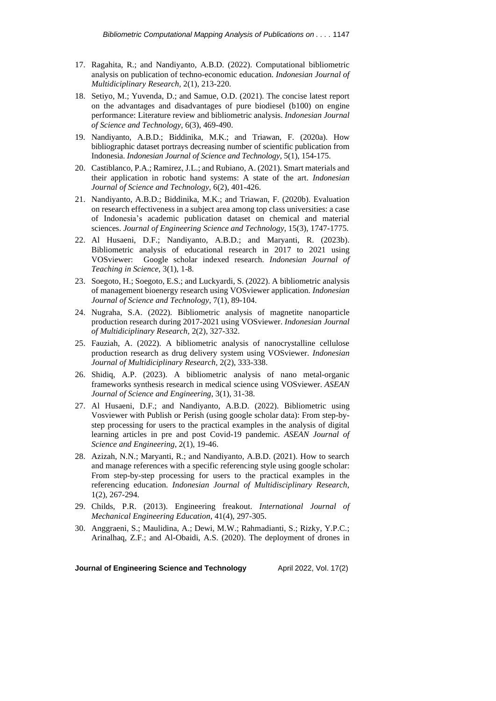- 17. Ragahita, R.; and Nandiyanto, A.B.D. (2022). Computational bibliometric analysis on publication of techno-economic education. *Indonesian Journal of Multidiciplinary Research,* 2(1), 213-220.
- 18. Setiyo, M.; Yuvenda, D.; and Samue, O.D. (2021). The concise latest report on the advantages and disadvantages of pure biodiesel (b100) on engine performance: Literature review and bibliometric analysis. *Indonesian Journal of Science and Technology,* 6(3), 469-490.
- 19. Nandiyanto, A.B.D.; Biddinika, M.K.; and Triawan, F. (2020a). How bibliographic dataset portrays decreasing number of scientific publication from Indonesia. *Indonesian Journal of Science and Technology,* 5(1), 154-175.
- 20. Castiblanco, P.A.; Ramirez, J.L.; and Rubiano, A. (2021). Smart materials and their application in robotic hand systems: A state of the art. *Indonesian Journal of Science and Technology,* 6(2), 401-426.
- 21. Nandiyanto, A.B.D.; Biddinika, M.K.; and Triawan, F. (2020b). Evaluation on research effectiveness in a subject area among top class universities: a case of Indonesia's academic publication dataset on chemical and material sciences. *Journal of Engineering Science and Technology,* 15(3), 1747-1775.
- 22. Al Husaeni, D.F.; Nandiyanto, A.B.D.; and Maryanti, R. (2023b). Bibliometric analysis of educational research in 2017 to 2021 using VOSviewer: Google scholar indexed research*. Indonesian Journal of Teaching in Science,* 3(1), 1-8.
- 23. Soegoto, H.; Soegoto, E.S.; and Luckyardi, S. (2022). A bibliometric analysis of management bioenergy research using VOSviewer application. *Indonesian Journal of Science and Technology*, 7(1), 89-104.
- 24. Nugraha, S.A. (2022). Bibliometric analysis of magnetite nanoparticle production research during 2017-2021 using VOSviewer. *Indonesian Journal of Multidiciplinary Research,* 2(2), 327-332.
- 25. Fauziah, A. (2022). A bibliometric analysis of nanocrystalline cellulose production research as drug delivery system using VOSviewer. *Indonesian Journal of Multidiciplinary Research,* 2(2), 333-338.
- 26. Shidiq, A.P. (2023). A bibliometric analysis of nano metal-organic frameworks synthesis research in medical science using VOSviewer. *ASEAN Journal of Science and Engineering*, 3(1), 31-38.
- 27. Al Husaeni, D.F.; and Nandiyanto, A.B.D. (2022). Bibliometric using Vosviewer with Publish or Perish (using google scholar data): From step-bystep processing for users to the practical examples in the analysis of digital learning articles in pre and post Covid-19 pandemic. *ASEAN Journal of Science and Engineering*, 2(1), 19-46.
- 28. Azizah, N.N.; Maryanti, R.; and Nandiyanto, A.B.D. (2021). How to search and manage references with a specific referencing style using google scholar: From step-by-step processing for users to the practical examples in the referencing education. *Indonesian Journal of Multidisciplinary Research*, 1(2), 267-294.
- 29. Childs, P.R. (2013). Engineering freakout. *International Journal of Mechanical Engineering Education*, 41(4), 297-305.
- 30. Anggraeni, S.; Maulidina, A.; Dewi, M.W.; Rahmadianti, S.; Rizky, Y.P.C.; Arinalhaq, Z.F.; and Al-Obaidi, A.S. (2020). The deployment of drones in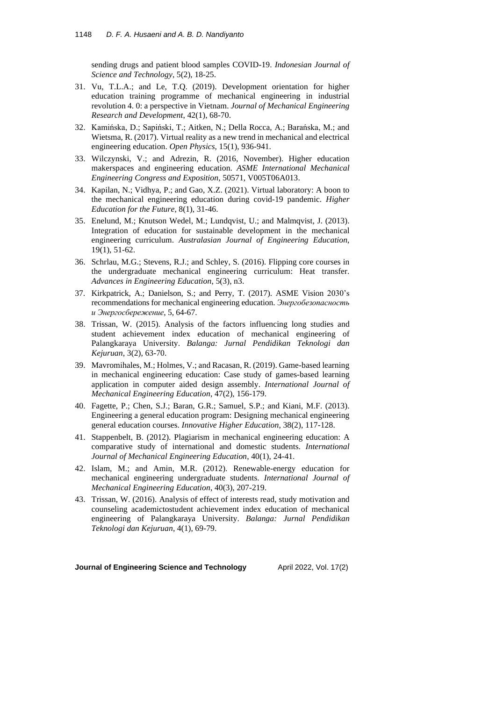sending drugs and patient blood samples COVID-19. *Indonesian Journal of Science and Technology*, 5(2), 18-25.

- 31. Vu, T.L.A.; and Le, T.Q. (2019). Development orientation for higher education training programme of mechanical engineering in industrial revolution 4. 0: a perspective in Vietnam. *Journal of Mechanical Engineering Research and Development*, 42(1), 68-70.
- 32. Kamińska, D.; Sapiński, T.; Aitken, N.; Della Rocca, A.; Barańska, M.; and Wietsma, R. (2017). Virtual reality as a new trend in mechanical and electrical engineering education. *Open Physics*, 15(1), 936-941.
- 33. Wilczynski, V.; and Adrezin, R. (2016, November). Higher education makerspaces and engineering education. *ASME International Mechanical Engineering Congress and Exposition*, 50571, V005T06A013.
- 34. Kapilan, N.; Vidhya, P.; and Gao, X.Z. (2021). Virtual laboratory: A boon to the mechanical engineering education during covid-19 pandemic. *Higher Education for the Future*, 8(1), 31-46.
- 35. Enelund, M.; Knutson Wedel, M.; Lundqvist, U.; and Malmqvist, J. (2013). Integration of education for sustainable development in the mechanical engineering curriculum. *Australasian Journal of Engineering Education*, 19(1), 51-62.
- 36. Schrlau, M.G.; Stevens, R.J.; and Schley, S. (2016). Flipping core courses in the undergraduate mechanical engineering curriculum: Heat transfer. *Advances in Engineering Education*, 5(3), n3.
- 37. Kirkpatrick, A.; Danielson, S.; and Perry, T. (2017). ASME Vision 2030's recommendations for mechanical engineering education. *Энергобезопасность и Энергосбережение*, 5, 64-67.
- 38. Trissan, W. (2015). Analysis of the factors influencing long studies and student achievement index education of mechanical engineering of Palangkaraya University. *Balanga: Jurnal Pendidikan Teknologi dan Kejuruan*, 3(2), 63-70.
- 39. Mavromihales, M.; Holmes, V.; and Racasan, R. (2019). Game-based learning in mechanical engineering education: Case study of games-based learning application in computer aided design assembly. *International Journal of Mechanical Engineering Education*, 47(2), 156-179.
- 40. Fagette, P.; Chen, S.J.; Baran, G.R.; Samuel, S.P.; and Kiani, M.F. (2013). Engineering a general education program: Designing mechanical engineering general education courses. *Innovative Higher Education*, 38(2), 117-128.
- 41. Stappenbelt, B. (2012). Plagiarism in mechanical engineering education: A comparative study of international and domestic students. *International Journal of Mechanical Engineering Education*, 40(1), 24-41.
- 42. Islam, M.; and Amin, M.R. (2012). Renewable-energy education for mechanical engineering undergraduate students. *International Journal of Mechanical Engineering Education*, 40(3), 207-219.
- 43. Trissan, W. (2016). Analysis of effect of interests read, study motivation and counseling academictostudent achievement index education of mechanical engineering of Palangkaraya University. *Balanga: Jurnal Pendidikan Teknologi dan Kejuruan*, 4(1), 69-79.